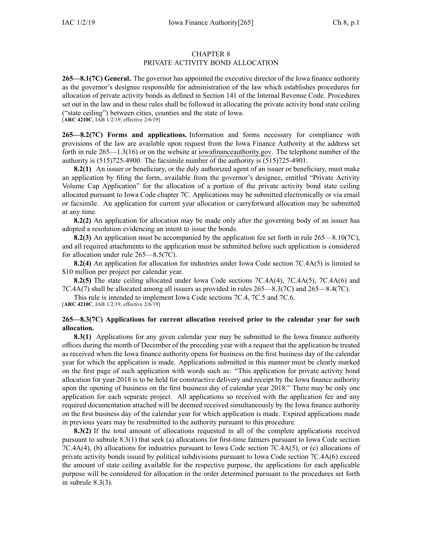#### CHAPTER 8 PRIVATE ACTIVITY BOND ALLOCATION

**265—8.1(7C) General.** The governor has appointed the executive director of the Iowa finance authority as the governor's designee responsible for administration of the law which establishes procedures for allocation of private activity bonds as defined in Section 141 of the Internal Revenue Code. Procedures set out in the law and in these rules shall be followed in allocating the private activity bond state ceiling ("state ceiling") between cities, counties and the state of Iowa. [**ARC [4210C](https://www.legis.iowa.gov/docs/aco/arc/4210C.pdf)**, IAB 1/2/19, effective 2/6/19]

**265—8.2(7C) Forms and applications.** Information and forms necessary for compliance with provisions of the law are available upon reques<sup>t</sup> from the Iowa Finance Authority at the address set forth in rule 265—1.3(16) or on the website at [iowafinanceauthority.gov](http://iowafinanceauthority.gov). The telephone number of the authority is (515)725-4900. The facsimile number of the authority is (515)725-4901.

**8.2(1)** An issuer or beneficiary, or the duly authorized agen<sup>t</sup> of an issuer or beneficiary, must make an application by filing the form, available from the governor's designee, entitled "Private Activity Volume Cap Application" for the allocation of <sup>a</sup> portion of the private activity bond state ceiling allocated pursuan<sup>t</sup> to Iowa Code chapter [7C](https://www.legis.iowa.gov/docs/ico/chapter/2018/7C.pdf). Applications may be submitted electronically or via email or facsimile. An application for current year allocation or carryforward allocation may be submitted at any time.

**8.2(2)** An application for allocation may be made only after the governing body of an issuer has adopted <sup>a</sup> resolution evidencing an intent to issue the bonds.

**8.2(3)** An application must be accompanied by the application fee set forth in rule [265—8.10](https://www.legis.iowa.gov/docs/iac/rule/265.8.10.pdf)(7C), and all required attachments to the application must be submitted before such application is considered for allocation under rule [265—8.5](https://www.legis.iowa.gov/docs/iac/rule/265.8.5.pdf)(7C).

**8.2(4)** An application for allocation for industries under Iowa Code section [7C.4A\(5\)](https://www.legis.iowa.gov/docs/ico/section/2018/7C.4A.pdf) is limited to \$10 million per project per calendar year.

**8.2(5)** The state ceiling allocated under Iowa Code sections [7C.4A\(4\)](https://www.legis.iowa.gov/docs/ico/section/2018/7C.4A.pdf), [7C.4A\(5\)](https://www.legis.iowa.gov/docs/ico/section/2018/7C.4A.pdf), [7C.4A\(6\)](https://www.legis.iowa.gov/docs/ico/section/2018/7C.4A.pdf) and [7C.4A\(7\)](https://www.legis.iowa.gov/docs/ico/section/2018/7C.4A.pdf) shall be allocated among all issuers as provided in rules [265—8.3](https://www.legis.iowa.gov/docs/iac/rule/265.8.3.pdf)(7C) and [265—8.4](https://www.legis.iowa.gov/docs/iac/rule/265.8.4.pdf)(7C).

This rule is intended to implement Iowa Code sections [7C.4](https://www.legis.iowa.gov/docs/ico/section/2018/7C.4.pdf), [7C.5](https://www.legis.iowa.gov/docs/ico/section/2018/7C.5.pdf) and [7C.6](https://www.legis.iowa.gov/docs/ico/section/2018/7C.6.pdf). [**ARC [4210C](https://www.legis.iowa.gov/docs/aco/arc/4210C.pdf)**, IAB 1/2/19, effective 2/6/19]

## **265—8.3(7C) Applications for current allocation received prior to the calendar year for such allocation.**

**8.3(1)** Applications for any given calendar year may be submitted to the Iowa finance authority offices during the month of December of the preceding year with <sup>a</sup> reques<sup>t</sup> that the application be treated as received when the Iowa finance authority opens for business on the first business day of the calendar year for which the application is made. Applications submitted in this manner must be clearly marked on the first page of such application with words such as: "This application for private activity bond allocation for year 2018 is to be held for constructive delivery and receipt by the Iowa finance authority upon the opening of business on the first business day of calendar year 2018." There may be only one application for each separate project. All applications so received with the application fee and any required documentation attached will be deemed received simultaneously by the Iowa finance authority on the first business day of the calendar year for which application is made. Expired applications made in previous years may be resubmitted to the authority pursuan<sup>t</sup> to this procedure.

**8.3(2)** If the total amount of allocations requested in all of the complete applications received pursuan<sup>t</sup> to subrule [8.3\(1\)](https://www.legis.iowa.gov/docs/iac/rule/265.8.3.pdf) that seek (a) allocations for first-time farmers pursuan<sup>t</sup> to Iowa Code section [7C.4A\(4\)](https://www.legis.iowa.gov/docs/ico/section/2018/7C.4A.pdf), (b) allocations for industries pursuan<sup>t</sup> to Iowa Code section [7C.4A\(5\)](https://www.legis.iowa.gov/docs/ico/section/7C.4A.pdf), or (c) allocations of private activity bonds issued by political subdivisions pursuan<sup>t</sup> to Iowa Code section [7C.4A\(6\)](https://www.legis.iowa.gov/docs/ico/section/7C.4A.pdf) exceed the amount of state ceiling available for the respective purpose, the applications for each applicable purpose will be considered for allocation in the order determined pursuan<sup>t</sup> to the procedures set forth in [subrule](https://www.legis.iowa.gov/docs/iac/rule/265.8.3.pdf) 8.3(3).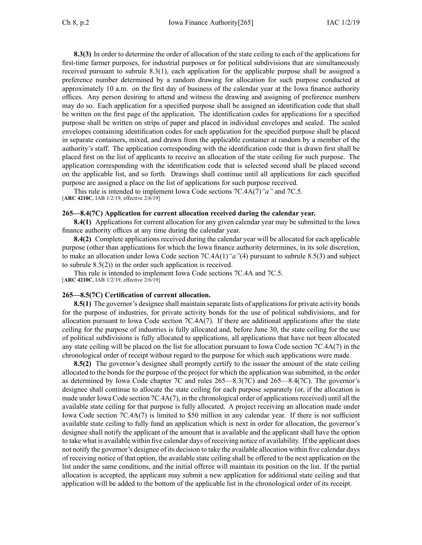**8.3(3)** In order to determine the order of allocation of the state ceiling to each of the applications for first-time farmer purposes, for industrial purposes or for political subdivisions that are simultaneously received pursuan<sup>t</sup> to subrule [8.3\(1\)](https://www.legis.iowa.gov/docs/iac/rule/265.8.3.pdf), each application for the applicable purpose shall be assigned <sup>a</sup> preference number determined by <sup>a</sup> random drawing for allocation for such purpose conducted at approximately 10 a.m. on the first day of business of the calendar year at the Iowa finance authority offices. Any person desiring to attend and witness the drawing and assigning of preference numbers may do so. Each application for <sup>a</sup> specified purpose shall be assigned an identification code that shall be written on the first page of the application. The identification codes for applications for <sup>a</sup> specified purpose shall be written on strips of paper and placed in individual envelopes and sealed. The sealed envelopes containing identification codes for each application for the specified purpose shall be placed in separate containers, mixed, and drawn from the applicable container at random by <sup>a</sup> member of the authority's staff. The application corresponding with the identification code that is drawn first shall be placed first on the list of applicants to receive an allocation of the state ceiling for such purpose. The application corresponding with the identification code that is selected second shall be placed second on the applicable list, and so forth. Drawings shall continue until all applications for each specified purpose are assigned <sup>a</sup> place on the list of applications for such purpose received.

This rule is intended to implement Iowa Code sections [7C.4A\(7\)](https://www.legis.iowa.gov/docs/ico/section/7C.4A.pdf)*"a"* and [7C.5](https://www.legis.iowa.gov/docs/ico/section/7C.5.pdf). [**ARC [4210C](https://www.legis.iowa.gov/docs/aco/arc/4210C.pdf)**, IAB 1/2/19, effective 2/6/19]

#### **265—8.4(7C) Application for current allocation received during the calendar year.**

**8.4(1)** Applications for current allocation for any given calendar year may be submitted to the Iowa finance authority offices at any time during the calendar year.

**8.4(2)** Complete applications received during the calendar year will be allocated for each applicable purpose (other than applications for which the Iowa finance authority determines, in its sole discretion, to make an allocation under Iowa Code section [7C.4A\(1\)](https://www.legis.iowa.gov/docs/ico/section/2018/7C.4A.pdf)*"a"*(4) pursuan<sup>t</sup> to subrule [8.5\(3\)](https://www.legis.iowa.gov/docs/iac/rule/265.8.5.pdf) and subject to subrule [8.5\(2\)](https://www.legis.iowa.gov/docs/iac/rule/265.8.5.pdf)) in the order such application is received.

This rule is intended to implement Iowa Code sections [7C.4A](https://www.legis.iowa.gov/docs/ico/section/7C.4A.pdf) and [7C.5](https://www.legis.iowa.gov/docs/ico/section/7C.5.pdf).

[**ARC [4210C](https://www.legis.iowa.gov/docs/aco/arc/4210C.pdf)**, IAB 1/2/19, effective 2/6/19]

### **265—8.5(7C) Certification of current allocation.**

**8.5(1)** The governor's designee shall maintain separate lists of applications for private activity bonds for the purpose of industries, for private activity bonds for the use of political subdivisions, and for allocation pursuan<sup>t</sup> to Iowa Code section [7C.4A\(7\)](https://www.legis.iowa.gov/docs/ico/section/2018/7C.4A.pdf). If there are additional applications after the state ceiling for the purpose of industries is fully allocated and, before June 30, the state ceiling for the use of political subdivisions is fully allocated to applications, all applications that have not been allocated any state ceiling will be placed on the list for allocation pursuan<sup>t</sup> to Iowa Code section [7C.4A\(7\)](https://www.legis.iowa.gov/docs/ico/section/2018/7C.4A.pdf) in the chronological order of receipt without regard to the purpose for which such applications were made.

**8.5(2)** The governor's designee shall promptly certify to the issuer the amount of the state ceiling allocated to the bonds for the purpose of the project for which the application was submitted, in the order as determined by Iowa Code chapter [7C](https://www.legis.iowa.gov/docs/ico/chapter/7C.pdf) and rules [265—8.3](https://www.legis.iowa.gov/docs/iac/rule/265.8.3.pdf)(7C) and [265—8.4](https://www.legis.iowa.gov/docs/iac/rule/265.8.4.pdf)(7C). The governor's designee shall continue to allocate the state ceiling for each purpose separately (or, if the allocation is made under Iowa Code section  $7C.4A(7)$ , in the chronological order of applications received) until all the available state ceiling for that purpose is fully allocated. A project receiving an allocation made under Iowa Code section [7C.4A\(7\)](https://www.legis.iowa.gov/docs/ico/section/2018/7C.4A.pdf) is limited to \$50 million in any calendar year. If there is not sufficient available state ceiling to fully fund an application which is next in order for allocation, the governor's designee shall notify the applicant of the amount that is available and the applicant shall have the option to take what is available within five calendar days of receiving notice of availability. If the applicant does not notify the governor's designee of its decision to take the available allocation within five calendar days of receiving notice of that option, the available state ceiling shall be offered to the next application on the list under the same conditions, and the initial offeree will maintain its position on the list. If the partial allocation is accepted, the applicant may submit <sup>a</sup> new application for additional state ceiling and that application will be added to the bottom of the applicable list in the chronological order of its receipt.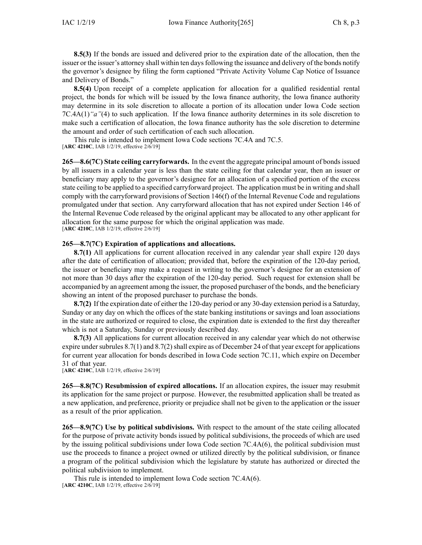**8.5(3)** If the bonds are issued and delivered prior to the expiration date of the allocation, then the issuer or the issuer's attorney shall within ten days following the issuance and delivery of the bonds notify the governor's designee by filing the form captioned "Private Activity Volume Cap Notice of Issuance and Delivery of Bonds."

**8.5(4)** Upon receipt of <sup>a</sup> complete application for allocation for <sup>a</sup> qualified residential rental project, the bonds for which will be issued by the Iowa finance authority, the Iowa finance authority may determine in its sole discretion to allocate <sup>a</sup> portion of its allocation under Iowa Code section [7C.4A\(1\)](https://www.legis.iowa.gov/docs/ico/section/2018/7C.4A.pdf)*"a"*(4) to such application. If the Iowa finance authority determines in its sole discretion to make such <sup>a</sup> certification of allocation, the Iowa finance authority has the sole discretion to determine the amount and order of such certification of each such allocation.

This rule is intended to implement Iowa Code sections [7C.4A](https://www.legis.iowa.gov/docs/ico/section/2018/7C.4A.pdf) and [7C.5](https://www.legis.iowa.gov/docs/ico/section/2018/7C.5.pdf). [**ARC [4210C](https://www.legis.iowa.gov/docs/aco/arc/4210C.pdf)**, IAB 1/2/19, effective 2/6/19]

**265—8.6(7C) State ceiling carryforwards.** In the event the aggregate principal amount of bondsissued by all issuers in <sup>a</sup> calendar year is less than the state ceiling for that calendar year, then an issuer or beneficiary may apply to the governor's designee for an allocation of <sup>a</sup> specified portion of the excess state ceiling to be applied to <sup>a</sup> specified carryforward project. The application must be in writing and shall comply with the carryforward provisions of Section 146(f) of the Internal Revenue Code and regulations promulgated under that section. Any carryforward allocation that has not expired under Section 146 of the Internal Revenue Code released by the original applicant may be allocated to any other applicant for allocation for the same purpose for which the original application was made. [**ARC [4210C](https://www.legis.iowa.gov/docs/aco/arc/4210C.pdf)**, IAB 1/2/19, effective 2/6/19]

# **265—8.7(7C) Expiration of applications and allocations.**

**8.7(1)** All applications for current allocation received in any calendar year shall expire 120 days after the date of certification of allocation; provided that, before the expiration of the 120-day period, the issuer or beneficiary may make <sup>a</sup> reques<sup>t</sup> in writing to the governor's designee for an extension of not more than 30 days after the expiration of the 120-day period. Such reques<sup>t</sup> for extension shall be accompanied by an agreemen<sup>t</sup> among the issuer, the proposed purchaser of the bonds, and the beneficiary showing an intent of the proposed purchaser to purchase the bonds.

**8.7(2)** If the expiration date of either the 120-day period or any 30-day extension period is <sup>a</sup> Saturday, Sunday or any day on which the offices of the state banking institutions or savings and loan associations in the state are authorized or required to close, the expiration date is extended to the first day thereafter which is not <sup>a</sup> Saturday, Sunday or previously described day.

**8.7(3)** All applications for current allocation received in any calendar year which do not otherwise expire under [subrules](https://www.legis.iowa.gov/docs/iac/rule/265.8.7.pdf)  $8.7(1)$  and  $8.7(2)$  shall expire as of December 24 of that year except for applications for current year allocation for bonds described in Iowa Code section [7C.11](https://www.legis.iowa.gov/docs/ico/section/2018/7C.11.pdf), which expire on December 31 of that year.

[**ARC [4210C](https://www.legis.iowa.gov/docs/aco/arc/4210C.pdf)**, IAB 1/2/19, effective 2/6/19]

**265—8.8(7C) Resubmission of expired allocations.** If an allocation expires, the issuer may resubmit its application for the same project or purpose. However, the resubmitted application shall be treated as <sup>a</sup> new application, and preference, priority or prejudice shall not be given to the application or the issuer as <sup>a</sup> result of the prior application.

**265—8.9(7C) Use by political subdivisions.** With respec<sup>t</sup> to the amount of the state ceiling allocated for the purpose of private activity bonds issued by political subdivisions, the proceeds of which are used by the issuing political subdivisions under Iowa Code section [7C.4A\(6\)](https://www.legis.iowa.gov/docs/ico/section/2018/7C.4A.pdf), the political subdivision must use the proceeds to finance <sup>a</sup> project owned or utilized directly by the political subdivision, or finance <sup>a</sup> program of the political subdivision which the legislature by statute has authorized or directed the political subdivision to implement.

This rule is intended to implement Iowa Code section [7C.4A\(6\)](https://www.legis.iowa.gov/docs/ico/section/7C.4A.pdf). [**ARC [4210C](https://www.legis.iowa.gov/docs/aco/arc/4210C.pdf)**, IAB 1/2/19, effective 2/6/19]